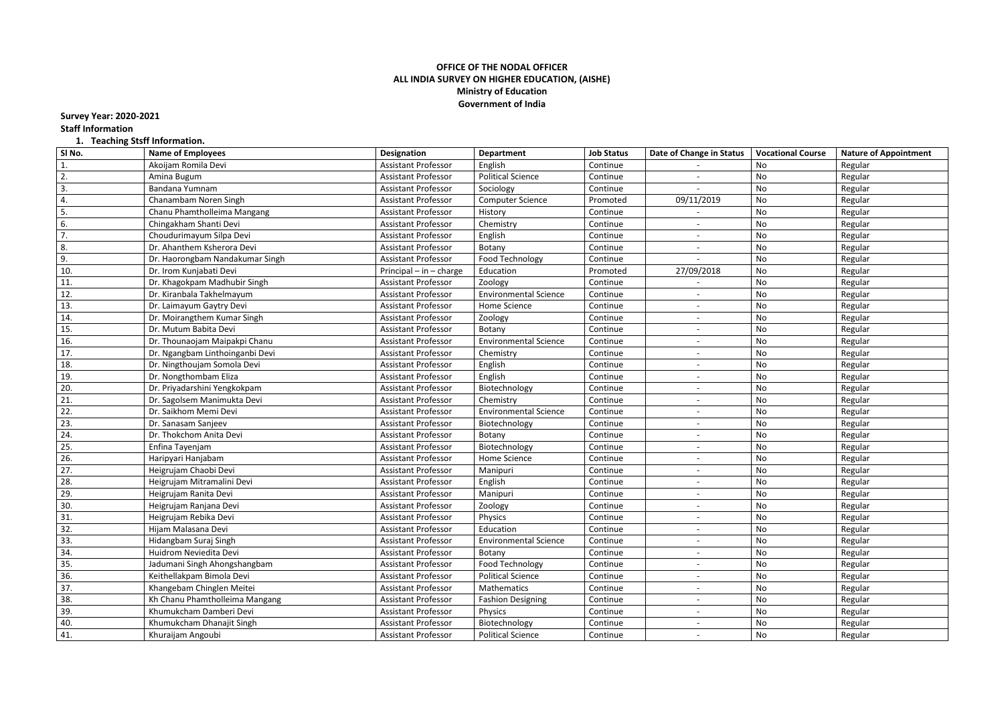## **OFFICE OF THE NODAL OFFICER ALL INDIA SURVEY ON HIGHER EDUCATION, (AISHE) Ministry of Education Government of India**

**Survey Year: 2020-2021 Staff Information**

## **1. Teaching Stsff Information.**

| SI No. | <b>Name of Employees</b>        | <b>Designation</b>          | <b>Department</b>            | <b>Job Status</b> | Date of Change in Status | <b>Vocational Course</b> | <b>Nature of Appointment</b> |
|--------|---------------------------------|-----------------------------|------------------------------|-------------------|--------------------------|--------------------------|------------------------------|
| 1.     | Akoijam Romila Devi             | <b>Assistant Professor</b>  | English                      | Continue          |                          | No                       | Regular                      |
| 2.     | Amina Bugum                     | <b>Assistant Professor</b>  | <b>Political Science</b>     | Continue          |                          | No                       | Regular                      |
| 3.     | Bandana Yumnam                  | Assistant Professor         | Sociology                    | Continue          |                          | No                       | Regular                      |
| 4.     | Chanambam Noren Singh           | <b>Assistant Professor</b>  | <b>Computer Science</b>      | Promoted          | 09/11/2019               | No                       | Regular                      |
| 5.     | Chanu Phamtholleima Mangang     | <b>Assistant Professor</b>  | History                      | Continue          |                          | No                       | Regular                      |
| 6.     | Chingakham Shanti Devi          | <b>Assistant Professor</b>  | Chemistry                    | Continue          |                          | No                       | Regular                      |
| 7.     | Choudurimayum Silpa Devi        | <b>Assistant Professor</b>  | English                      | Continue          |                          | No                       | Regular                      |
| 8.     | Dr. Ahanthem Ksherora Devi      | <b>Assistant Professor</b>  | Botany                       | Continue          |                          | No                       | Regular                      |
| 9.     | Dr. Haorongbam Nandakumar Singh | <b>Assistant Professor</b>  | Food Technology              | Continue          |                          | No                       | Regular                      |
| 10.    | Dr. Irom Kunjabati Devi         | Principal $-$ in $-$ charge | Education                    | Promoted          | 27/09/2018               | No                       | Regular                      |
| 11.    | Dr. Khagokpam Madhubir Singh    | <b>Assistant Professor</b>  | Zoology                      | Continue          |                          | No                       | Regular                      |
| 12.    | Dr. Kiranbala Takhelmayum       | <b>Assistant Professor</b>  | <b>Environmental Science</b> | Continue          |                          | No                       | Regular                      |
| 13.    | Dr. Laimayum Gaytry Devi        | Assistant Professor         | Home Science                 | Continue          |                          | No                       | Regular                      |
| 14.    | Dr. Moirangthem Kumar Singh     | <b>Assistant Professor</b>  | Zoology                      | Continue          |                          | No                       | Regular                      |
| 15.    | Dr. Mutum Babita Devi           | <b>Assistant Professor</b>  | Botany                       | Continue          |                          | No                       | Regular                      |
| 16.    | Dr. Thounaojam Maipakpi Chanu   | <b>Assistant Professor</b>  | <b>Environmental Science</b> | Continue          |                          | No                       | Regular                      |
| 17.    | Dr. Ngangbam Linthoinganbi Devi | <b>Assistant Professor</b>  | Chemistry                    | Continue          |                          | No                       | Regular                      |
| 18.    | Dr. Ningthoujam Somola Devi     | <b>Assistant Professor</b>  | English                      | Continue          |                          | No                       | Regular                      |
| 19.    | Dr. Nongthombam Eliza           | <b>Assistant Professor</b>  | English                      | Continue          |                          | No                       | Regular                      |
| 20.    | Dr. Priyadarshini Yengkokpam    | <b>Assistant Professor</b>  | Biotechnology                | Continue          |                          | No                       | Regular                      |
| 21.    | Dr. Sagolsem Manimukta Devi     | <b>Assistant Professor</b>  | Chemistry                    | Continue          |                          | No                       | Regular                      |
| 22.    | Dr. Saikhom Memi Devi           | <b>Assistant Professor</b>  | <b>Environmental Science</b> | Continue          |                          | No                       | Regular                      |
| 23.    | Dr. Sanasam Sanjeev             | <b>Assistant Professor</b>  | Biotechnology                | Continue          |                          | No                       | Regular                      |
| 24.    | Dr. Thokchom Anita Devi         | <b>Assistant Professor</b>  | Botany                       | Continue          |                          | No                       | Regular                      |
| 25.    | Enfina Tayenjam                 | <b>Assistant Professor</b>  | Biotechnology                | Continue          | $\overline{\phantom{a}}$ | No                       | Regular                      |
| 26.    | Haripyari Hanjabam              | Assistant Professor         | Home Science                 | Continue          |                          | No                       | Regular                      |
| 27.    | Heigrujam Chaobi Devi           | <b>Assistant Professor</b>  | Manipuri                     | Continue          |                          | No                       | Regular                      |
| 28.    | Heigrujam Mitramalini Devi      | <b>Assistant Professor</b>  | English                      | Continue          |                          | No                       | Regular                      |
| 29.    | Heigrujam Ranita Devi           | <b>Assistant Professor</b>  | Manipuri                     | Continue          |                          | No                       | Regular                      |
| 30.    | Heigrujam Ranjana Devi          | <b>Assistant Professor</b>  | Zoology                      | Continue          |                          | No                       | Regular                      |
| 31.    | Heigrujam Rebika Devi           | <b>Assistant Professor</b>  | Physics                      | Continue          |                          | No                       | Regular                      |
| 32.    | Hijam Malasana Devi             | Assistant Professor         | Education                    | Continue          |                          | No                       | Regular                      |
| 33.    | Hidangbam Suraj Singh           | <b>Assistant Professor</b>  | <b>Environmental Science</b> | Continue          |                          | No                       | Regular                      |
| 34.    | Huidrom Neviedita Devi          | <b>Assistant Professor</b>  | Botany                       | Continue          |                          | No                       | Regular                      |
| 35.    | Jadumani Singh Ahongshangbam    | <b>Assistant Professor</b>  | Food Technology              | Continue          |                          | No                       | Regular                      |
| 36.    | Keithellakpam Bimola Devi       | <b>Assistant Professor</b>  | <b>Political Science</b>     | Continue          |                          | No                       | Regular                      |
| 37.    | Khangebam Chinglen Meitei       | <b>Assistant Professor</b>  | Mathematics                  | Continue          | $\overline{\phantom{a}}$ | No                       | Regular                      |
| 38.    | Kh Chanu Phamtholleima Mangang  | Assistant Professor         | <b>Fashion Designing</b>     | Continue          |                          | No                       | Regular                      |
| 39.    | Khumukcham Damberi Devi         | <b>Assistant Professor</b>  | Physics                      | Continue          |                          | No                       | Regular                      |
| 40.    | Khumukcham Dhanajit Singh       | <b>Assistant Professor</b>  | Biotechnology                | Continue          |                          | No                       | Regular                      |
| 41.    | Khuraijam Angoubi               | Assistant Professor         | <b>Political Science</b>     | Continue          | $\overline{\phantom{a}}$ | No                       | Regular                      |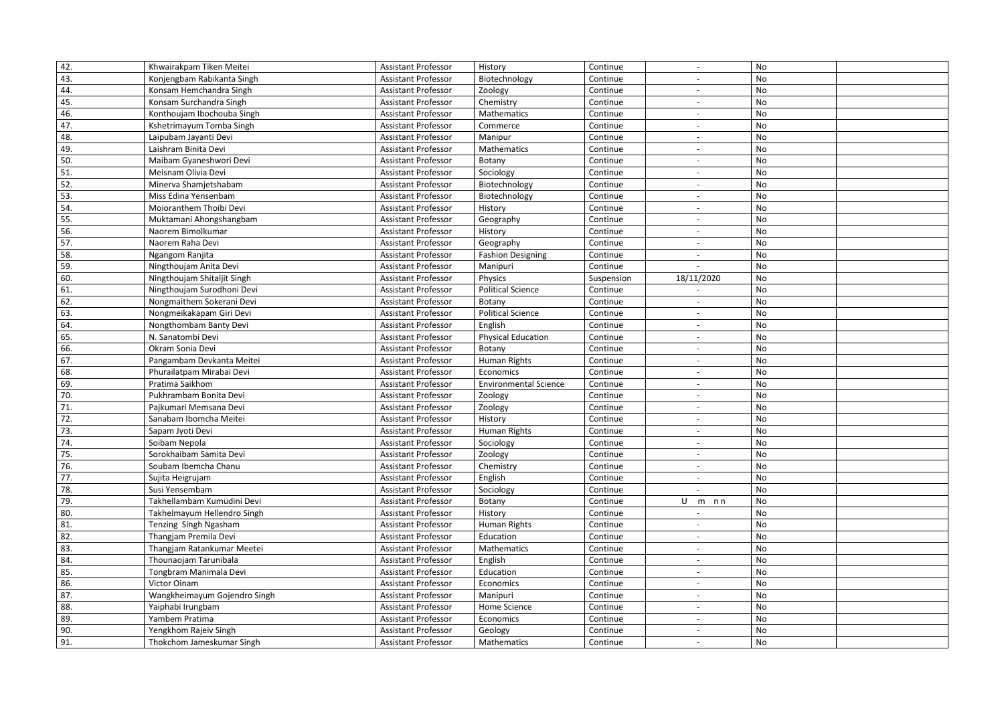| 42. | Khwairakpam Tiken Meitei     | <b>Assistant Professor</b> | History                      | Continue   |                          | No |  |
|-----|------------------------------|----------------------------|------------------------------|------------|--------------------------|----|--|
| 43. | Konjengbam Rabikanta Singh   | <b>Assistant Professor</b> | Biotechnology                | Continue   |                          | No |  |
| 44. | Konsam Hemchandra Singh      | <b>Assistant Professor</b> | Zoology                      | Continue   |                          | No |  |
| 45. | Konsam Surchandra Singh      | <b>Assistant Professor</b> | Chemistry                    | Continue   |                          | No |  |
| 46. | Konthoujam Ibochouba Singh   | <b>Assistant Professor</b> | Mathematics                  | Continue   |                          | No |  |
| 47. | Kshetrimayum Tomba Singh     | <b>Assistant Professor</b> | Commerce                     | Continue   |                          | No |  |
| 48. | Laipubam Jayanti Devi        | <b>Assistant Professor</b> | Manipur                      | Continue   |                          | No |  |
| 49. | Laishram Binita Devi         | <b>Assistant Professor</b> | Mathematics                  | Continue   |                          | No |  |
| 50. | Maibam Gyaneshwori Devi      | <b>Assistant Professor</b> | Botany                       | Continue   |                          | No |  |
| 51. | Meisnam Olivia Devi          | <b>Assistant Professor</b> | Sociology                    | Continue   | $\overline{\phantom{a}}$ | No |  |
| 52. | Minerva Shamjetshabam        | <b>Assistant Professor</b> | Biotechnology                | Continue   |                          | No |  |
| 53. | Miss Edina Yensenbam         | <b>Assistant Professor</b> | Biotechnology                | Continue   |                          | No |  |
| 54. | Moioranthem Thoibi Devi      | <b>Assistant Professor</b> | History                      | Continue   | $\overline{\phantom{a}}$ | No |  |
| 55. | Muktamani Ahongshangbam      | <b>Assistant Professor</b> | Geography                    | Continue   |                          | No |  |
| 56. | Naorem Bimolkumar            | <b>Assistant Professor</b> | History                      | Continue   |                          | No |  |
| 57. | Naorem Raha Devi             | <b>Assistant Professor</b> | Geography                    | Continue   | $\overline{\phantom{a}}$ | No |  |
| 58. | Ngangom Ranjita              | <b>Assistant Professor</b> | <b>Fashion Designing</b>     | Continue   |                          | No |  |
| 59. | Ningthoujam Anita Devi       | <b>Assistant Professor</b> | Manipuri                     | Continue   |                          | No |  |
| 60. | Ningthoujam Shitaljit Singh  | <b>Assistant Professor</b> | Physics                      | Suspension | 18/11/2020               | No |  |
| 61. | Ningthoujam Surodhoni Devi   | Assistant Professor        | <b>Political Science</b>     | Continue   |                          | No |  |
| 62. | Nongmaithem Sokerani Devi    | <b>Assistant Professor</b> | Botany                       | Continue   |                          | No |  |
| 63. | Nongmeikakapam Giri Devi     | <b>Assistant Professor</b> | <b>Political Science</b>     | Continue   |                          | No |  |
| 64. | Nongthombam Banty Devi       | <b>Assistant Professor</b> | English                      | Continue   |                          | No |  |
| 65. | N. Sanatombi Devi            | <b>Assistant Professor</b> | <b>Physical Education</b>    | Continue   |                          | No |  |
| 66. | Okram Sonia Devi             | <b>Assistant Professor</b> | Botany                       | Continue   |                          | No |  |
| 67. | Pangambam Devkanta Meitei    | <b>Assistant Professor</b> | <b>Human Rights</b>          | Continue   |                          | No |  |
| 68. | Phurailatpam Mirabai Devi    | <b>Assistant Professor</b> | Economics                    | Continue   |                          | No |  |
| 69. | Pratima Saikhom              | <b>Assistant Professor</b> | <b>Environmental Science</b> | Continue   |                          | No |  |
| 70. | Pukhrambam Bonita Devi       | Assistant Professor        | Zoology                      | Continue   |                          | No |  |
| 71. | Pajkumari Memsana Devi       | <b>Assistant Professor</b> | Zoology                      | Continue   |                          | No |  |
| 72. | Sanabam Ibomcha Meitei       | <b>Assistant Professor</b> | History                      | Continue   |                          | No |  |
| 73. | Sapam Jyoti Devi             | <b>Assistant Professor</b> | Human Rights                 | Continue   |                          | No |  |
| 74. | Soibam Nepola                | <b>Assistant Professor</b> | Sociology                    | Continue   |                          | No |  |
| 75. | Sorokhaibam Samita Devi      | <b>Assistant Professor</b> | Zoology                      | Continue   |                          | No |  |
| 76. | Soubam Ibemcha Chanu         | <b>Assistant Professor</b> | Chemistry                    | Continue   |                          | No |  |
| 77. | Sujita Heigrujam             | <b>Assistant Professor</b> | English                      | Continue   |                          | No |  |
| 78. | Susi Yensembam               | <b>Assistant Professor</b> | Sociology                    | Continue   |                          | No |  |
| 79. | Takhellambam Kumudini Devi   | <b>Assistant Professor</b> | Botany                       | Continue   | U m nn                   | No |  |
| 80. | Takhelmayum Hellendro Singh  | <b>Assistant Professor</b> | History                      | Continue   |                          | No |  |
| 81. | Tenzing Singh Ngasham        | <b>Assistant Professor</b> | Human Rights                 | Continue   |                          | No |  |
| 82. | Thangjam Premila Devi        | <b>Assistant Professor</b> | Education                    | Continue   | $\overline{\phantom{a}}$ | No |  |
| 83. | Thangjam Ratankumar Meetei   | <b>Assistant Professor</b> | Mathematics                  | Continue   |                          | No |  |
| 84. | Thounaojam Tarunibala        | <b>Assistant Professor</b> | English                      | Continue   |                          | No |  |
| 85. | Tongbram Manimala Devi       | <b>Assistant Professor</b> | Education                    | Continue   | $\overline{\phantom{a}}$ | No |  |
| 86. | Victor Oinam                 | <b>Assistant Professor</b> | Economics                    | Continue   |                          | No |  |
| 87. | Wangkheimayum Gojendro Singh | <b>Assistant Professor</b> | Manipuri                     | Continue   |                          | No |  |
| 88. | Yaiphabi Irungbam            | <b>Assistant Professor</b> | Home Science                 | Continue   | $\overline{\phantom{a}}$ | No |  |
| 89. | Yambem Pratima               | <b>Assistant Professor</b> | Economics                    | Continue   |                          | No |  |
| 90. | Yengkhom Rajeiv Singh        | <b>Assistant Professor</b> | Geology                      | Continue   |                          | No |  |
| 91. | Thokchom Jameskumar Singh    | <b>Assistant Professor</b> | Mathematics                  | Continue   | $\sim$                   | No |  |